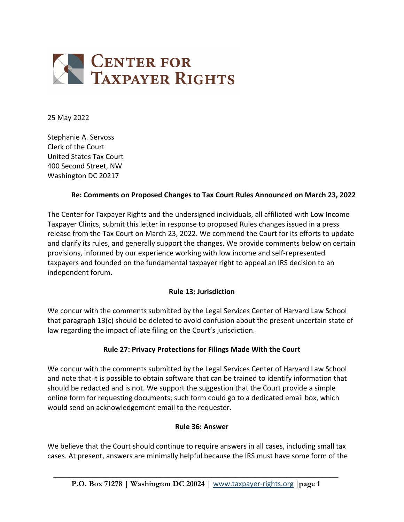

25 May 2022

Stephanie A. Servoss Clerk of the Court United States Tax Court 400 Second Street, NW Washington DC 20217

#### **Re: Comments on Proposed Changes to Tax Court Rules Announced on March 23, 2022**

The Center for Taxpayer Rights and the undersigned individuals, all affiliated with Low Income Taxpayer Clinics, submit this letter in response to proposed Rules changes issued in a press release from the Tax Court on March 23, 2022. We commend the Court for its efforts to update and clarify its rules, and generally support the changes. We provide comments below on certain provisions, informed by our experience working with low income and self-represented taxpayers and founded on the fundamental taxpayer right to appeal an IRS decision to an independent forum.

#### **Rule 13: Jurisdiction**

We concur with the comments submitted by the Legal Services Center of Harvard Law School that paragraph 13(c) should be deleted to avoid confusion about the present uncertain state of law regarding the impact of late filing on the Court's jurisdiction.

### **Rule 27: Privacy Protections for Filings Made With the Court**

We concur with the comments submitted by the Legal Services Center of Harvard Law School and note that it is possible to obtain software that can be trained to identify information that should be redacted and is not. We support the suggestion that the Court provide a simple online form for requesting documents; such form could go to a dedicated email box, which would send an acknowledgement email to the requester.

#### **Rule 36: Answer**

We believe that the Court should continue to require answers in all cases, including small tax cases. At present, answers are minimally helpful because the IRS must have some form of the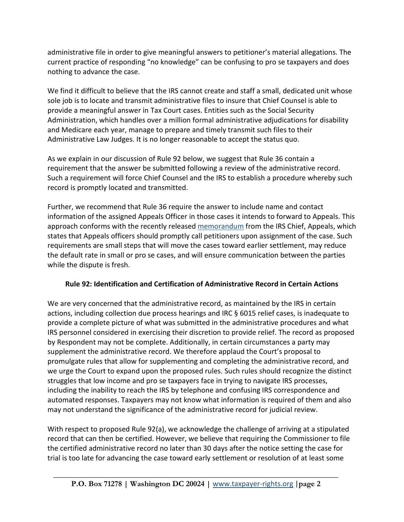administrative file in order to give meaningful answers to petitioner's material allegations. The current practice of responding "no knowledge" can be confusing to pro se taxpayers and does nothing to advance the case.

We find it difficult to believe that the IRS cannot create and staff a small, dedicated unit whose sole job is to locate and transmit administrative files to insure that Chief Counsel is able to provide a meaningful answer in Tax Court cases. Entities such as the Social Security Administration, which handles over a million formal administrative adjudications for disability and Medicare each year, manage to prepare and timely transmit such files to their Administrative Law Judges. It is no longer reasonable to accept the status quo.

As we explain in our discussion of Rule 92 below, we suggest that Rule 36 contain a requirement that the answer be submitted following a review of the administrative record. Such a requirement will force Chief Counsel and the IRS to establish a procedure whereby such record is promptly located and transmitted.

Further, we recommend that Rule 36 require the answer to include name and contact information of the assigned Appeals Officer in those cases it intends to forward to Appeals. This approach conforms with the recently release[d memorandum](https://www.taxnotes.com/tax-notes-today-federal/litigation-and-appeals/appeals-memo-outlines-steps-shrink-tax-court-case-backlog/2022/05/23/7dhxd?highlight=Appeals%20memorandum%20April%2019%202022) from the IRS Chief, Appeals, which states that Appeals officers should promptly call petitioners upon assignment of the case. Such requirements are small steps that will move the cases toward earlier settlement, may reduce the default rate in small or pro se cases, and will ensure communication between the parties while the dispute is fresh.

# **Rule 92: Identification and Certification of Administrative Record in Certain Actions**

We are very concerned that the administrative record, as maintained by the IRS in certain actions, including collection due process hearings and IRC § 6015 relief cases, is inadequate to provide a complete picture of what was submitted in the administrative procedures and what IRS personnel considered in exercising their discretion to provide relief. The record as proposed by Respondent may not be complete. Additionally, in certain circumstances a party may supplement the administrative record. We therefore applaud the Court's proposal to promulgate rules that allow for supplementing and completing the administrative record, and we urge the Court to expand upon the proposed rules. Such rules should recognize the distinct struggles that low income and pro se taxpayers face in trying to navigate IRS processes, including the inability to reach the IRS by telephone and confusing IRS correspondence and automated responses. Taxpayers may not know what information is required of them and also may not understand the significance of the administrative record for judicial review.

With respect to proposed Rule 92(a), we acknowledge the challenge of arriving at a stipulated record that can then be certified. However, we believe that requiring the Commissioner to file the certified administrative record no later than 30 days after the notice setting the case for trial is too late for advancing the case toward early settlement or resolution of at least some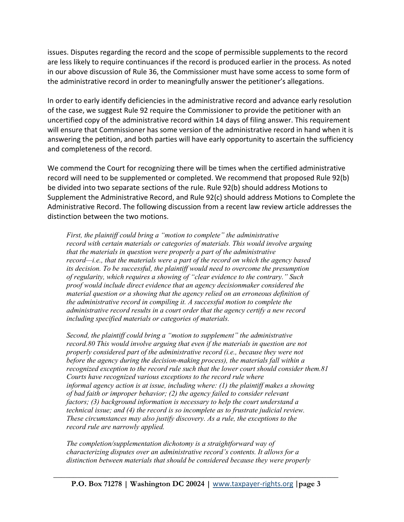issues. Disputes regarding the record and the scope of permissible supplements to the record are less likely to require continuances if the record is produced earlier in the process. As noted in our above discussion of Rule 36, the Commissioner must have some access to some form of the administrative record in order to meaningfully answer the petitioner's allegations.

In order to early identify deficiencies in the administrative record and advance early resolution of the case, we suggest Rule 92 require the Commissioner to provide the petitioner with an uncertified copy of the administrative record within 14 days of filing answer. This requirement will ensure that Commissioner has some version of the administrative record in hand when it is answering the petition, and both parties will have early opportunity to ascertain the sufficiency and completeness of the record.

We commend the Court for recognizing there will be times when the certified administrative record will need to be supplemented or completed. We recommend that proposed Rule 92(b) be divided into two separate sections of the rule. Rule 92(b) should address Motions to Supplement the Administrative Record, and Rule 92(c) should address Motions to Complete the Administrative Record. The following discussion from a recent law review article addresses the distinction between the two motions.

*First, the plaintiff could bring a "motion to complete" the administrative record with certain materials or categories of materials. This would involve arguing that the materials in question were properly a part of the administrative record—i.e., that the materials were a part of the record on which the agency based its decision. To be successful, the plaintiff would need to overcome the presumption of regularity, which requires a showing of "clear evidence to the contrary." Such proof would include direct evidence that an agency decisionmaker considered the material question or a showing that the agency relied on an erroneous definition of the administrative record in compiling it. A successful motion to complete the administrative record results in a court order that the agency certify a new record including specified materials or categories of materials.*

*Second, the plaintiff could bring a "motion to supplement" the administrative record.80 This would involve arguing that even if the materials in question are not properly considered part of the administrative record (i.e., because they were not before the agency during the decision-making process), the materials fall within a recognized exception to the record rule such that the lower court should consider them.81 Courts have recognized various exceptions to the record rule where informal agency action is at issue, including where: (1) the plaintiff makes a showing of bad faith or improper behavior; (2) the agency failed to consider relevant factors; (3) background information is necessary to help the court understand a technical issue; and (4) the record is so incomplete as to frustrate judicial review. These circumstances may also justify discovery. As a rule, the exceptions to the record rule are narrowly applied.*

*The completion/supplementation dichotomy is a straightforward way of characterizing disputes over an administrative record's contents. It allows for a distinction between materials that should be considered because they were properly*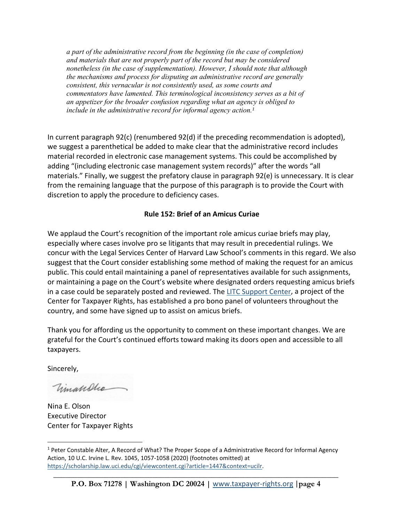*a part of the administrative record from the beginning (in the case of completion) and materials that are not properly part of the record but may be considered nonetheless (in the case of supplementation). However, I should note that although the mechanisms and process for disputing an administrative record are generally consistent, this vernacular is not consistently used, as some courts and commentators have lamented. This terminological inconsistency serves as a bit of an appetizer for the broader confusion regarding what an agency is obliged to include in the administrative record for informal agency action. [1](#page-3-0)*

In current paragraph 92(c) (renumbered 92(d) if the preceding recommendation is adopted), we suggest a parenthetical be added to make clear that the administrative record includes material recorded in electronic case management systems. This could be accomplished by adding "(including electronic case management system records)" after the words "all materials." Finally, we suggest the prefatory clause in paragraph 92(e) is unnecessary. It is clear from the remaining language that the purpose of this paragraph is to provide the Court with discretion to apply the procedure to deficiency cases.

## **Rule 152: Brief of an Amicus Curiae**

We applaud the Court's recognition of the important role amicus curiae briefs may play, especially where cases involve pro se litigants that may result in precedential rulings. We concur with the Legal Services Center of Harvard Law School's comments in this regard. We also suggest that the Court consider establishing some method of making the request for an amicus public. This could entail maintaining a panel of representatives available for such assignments, or maintaining a page on the Court's website where designated orders requesting amicus briefs in a case could be separately posted and reviewed. The [LITC Support Center,](https://www.litcsupportcenter.org/) a project of the Center for Taxpayer Rights, has established a pro bono panel of volunteers throughout the country, and some have signed up to assist on amicus briefs.

Thank you for affording us the opportunity to comment on these important changes. We are grateful for the Court's continued efforts toward making its doors open and accessible to all taxpayers.

Sincerely,

Vimanlle

Nina E. Olson Executive Director Center for Taxpayer Rights

<span id="page-3-0"></span><sup>&</sup>lt;sup>1</sup> Peter Constable Alter, A Record of What? The Proper Scope of a Administrative Record for Informal Agency Action, 10 U.C. Irvine L. Rev. 1045, 1057-1058 (2020) (footnotes omitted) at [https://scholarship.law.uci.edu/cgi/viewcontent.cgi?article=1447&context=ucilr.](https://scholarship.law.uci.edu/cgi/viewcontent.cgi?article=1447&context=ucilr)